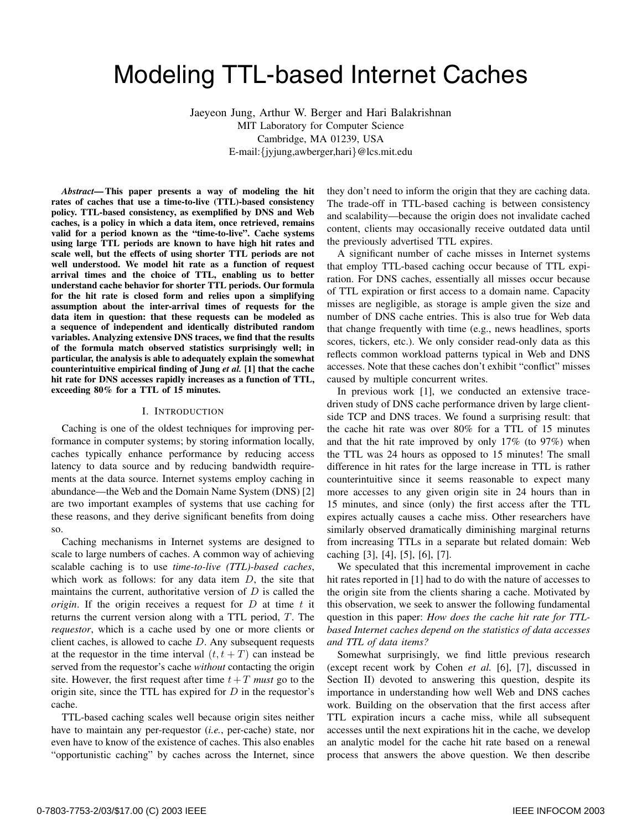# Modeling TTL-based Internet Caches

Jaeyeon Jung, Arthur W. Berger and Hari Balakrishnan MIT Laboratory for Computer Science Cambridge, MA 01239, USA E-mail:*{*jyjung,awberger,hari*}*@lcs.mit.edu

*Abstract***— This paper presents a way of modeling the hit rates of caches that use a time-to-live (TTL)-based consistency policy. TTL-based consistency, as exemplified by DNS and Web caches, is a policy in which a data item, once retrieved, remains valid for a period known as the "time-to-live". Cache systems using large TTL periods are known to have high hit rates and scale well, but the effects of using shorter TTL periods are not well understood. We model hit rate as a function of request arrival times and the choice of TTL, enabling us to better understand cache behavior for shorter TTL periods. Our formula for the hit rate is closed form and relies upon a simplifying assumption about the inter-arrival times of requests for the data item in question: that these requests can be modeled as a sequence of independent and identically distributed random variables. Analyzing extensive DNS traces, we find that the results of the formula match observed statistics surprisingly well; in particular, the analysis is able to adequately explain the somewhat counterintuitive empirical finding of Jung** *et al.* **[1] that the cache hit rate for DNS accesses rapidly increases as a function of TTL, exceeding 80% for a TTL of 15 minutes.**

#### I. INTRODUCTION

Caching is one of the oldest techniques for improving performance in computer systems; by storing information locally, caches typically enhance performance by reducing access latency to data source and by reducing bandwidth requirements at the data source. Internet systems employ caching in abundance—the Web and the Domain Name System (DNS) [2] are two important examples of systems that use caching for these reasons, and they derive significant benefits from doing so.

Caching mechanisms in Internet systems are designed to scale to large numbers of caches. A common way of achieving scalable caching is to use *time-to-live (TTL)-based caches*, which work as follows: for any data item *D*, the site that maintains the current, authoritative version of *D* is called the *origin*. If the origin receives a request for *D* at time *t* it returns the current version along with a TTL period, *T*. The *requestor*, which is a cache used by one or more clients or client caches, is allowed to cache *D*. Any subsequent requests at the requestor in the time interval  $(t, t + T)$  can instead be served from the requestor's cache *without* contacting the origin site. However, the first request after time  $t + T$  *must* go to the origin site, since the TTL has expired for *D* in the requestor's cache.

TTL-based caching scales well because origin sites neither have to maintain any per-requestor (*i.e.*, per-cache) state, nor even have to know of the existence of caches. This also enables "opportunistic caching" by caches across the Internet, since they don't need to inform the origin that they are caching data. The trade-off in TTL-based caching is between consistency and scalability—because the origin does not invalidate cached content, clients may occasionally receive outdated data until the previously advertised TTL expires.

A significant number of cache misses in Internet systems that employ TTL-based caching occur because of TTL expiration. For DNS caches, essentially all misses occur because of TTL expiration or first access to a domain name. Capacity misses are negligible, as storage is ample given the size and number of DNS cache entries. This is also true for Web data that change frequently with time (e.g., news headlines, sports scores, tickers, etc.). We only consider read-only data as this reflects common workload patterns typical in Web and DNS accesses. Note that these caches don't exhibit "conflict" misses caused by multiple concurrent writes.

In previous work [1], we conducted an extensive tracedriven study of DNS cache performance driven by large clientside TCP and DNS traces. We found a surprising result: that the cache hit rate was over 80% for a TTL of 15 minutes and that the hit rate improved by only 17% (to 97%) when the TTL was 24 hours as opposed to 15 minutes! The small difference in hit rates for the large increase in TTL is rather counterintuitive since it seems reasonable to expect many more accesses to any given origin site in 24 hours than in 15 minutes, and since (only) the first access after the TTL expires actually causes a cache miss. Other researchers have similarly observed dramatically diminishing marginal returns from increasing TTLs in a separate but related domain: Web caching [3], [4], [5], [6], [7].

We speculated that this incremental improvement in cache hit rates reported in [1] had to do with the nature of accesses to the origin site from the clients sharing a cache. Motivated by this observation, we seek to answer the following fundamental question in this paper: *How does the cache hit rate for TTLbased Internet caches depend on the statistics of data accesses and TTL of data items?*

Somewhat surprisingly, we find little previous research (except recent work by Cohen *et al.* [6], [7], discussed in Section II) devoted to answering this question, despite its importance in understanding how well Web and DNS caches work. Building on the observation that the first access after TTL expiration incurs a cache miss, while all subsequent accesses until the next expirations hit in the cache, we develop an analytic model for the cache hit rate based on a renewal process that answers the above question. We then describe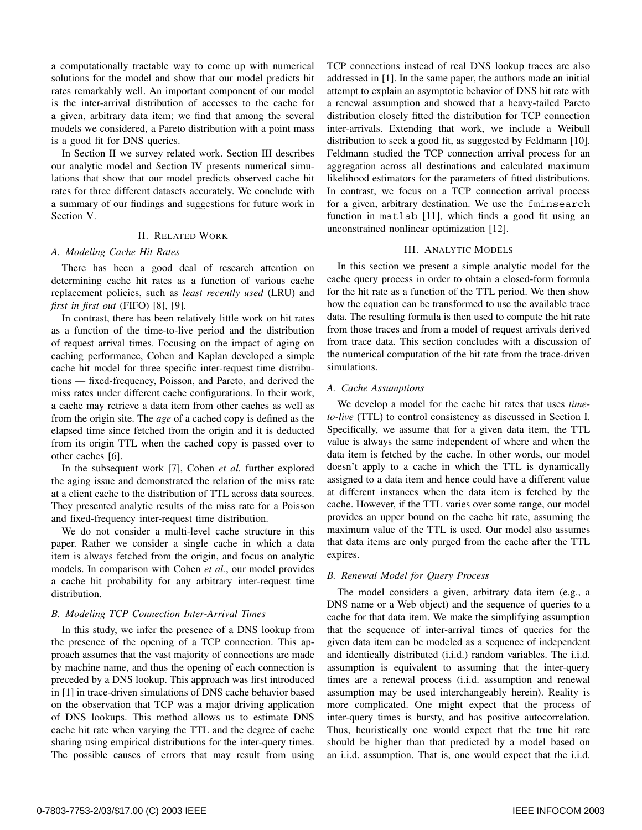a computationally tractable way to come up with numerical solutions for the model and show that our model predicts hit rates remarkably well. An important component of our model is the inter-arrival distribution of accesses to the cache for a given, arbitrary data item; we find that among the several models we considered, a Pareto distribution with a point mass is a good fit for DNS queries.

In Section II we survey related work. Section III describes our analytic model and Section IV presents numerical simulations that show that our model predicts observed cache hit rates for three different datasets accurately. We conclude with a summary of our findings and suggestions for future work in Section V.

# II. RELATED WORK

## *A. Modeling Cache Hit Rates*

There has been a good deal of research attention on determining cache hit rates as a function of various cache replacement policies, such as *least recently used* (LRU) and *first in first out* (FIFO) [8], [9].

In contrast, there has been relatively little work on hit rates as a function of the time-to-live period and the distribution of request arrival times. Focusing on the impact of aging on caching performance, Cohen and Kaplan developed a simple cache hit model for three specific inter-request time distributions — fixed-frequency, Poisson, and Pareto, and derived the miss rates under different cache configurations. In their work, a cache may retrieve a data item from other caches as well as from the origin site. The *age* of a cached copy is defined as the elapsed time since fetched from the origin and it is deducted from its origin TTL when the cached copy is passed over to other caches [6].

In the subsequent work [7], Cohen *et al.* further explored the aging issue and demonstrated the relation of the miss rate at a client cache to the distribution of TTL across data sources. They presented analytic results of the miss rate for a Poisson and fixed-frequency inter-request time distribution.

We do not consider a multi-level cache structure in this paper. Rather we consider a single cache in which a data item is always fetched from the origin, and focus on analytic models. In comparison with Cohen *et al.*, our model provides a cache hit probability for any arbitrary inter-request time distribution.

## *B. Modeling TCP Connection Inter-Arrival Times*

In this study, we infer the presence of a DNS lookup from the presence of the opening of a TCP connection. This approach assumes that the vast majority of connections are made by machine name, and thus the opening of each connection is preceded by a DNS lookup. This approach was first introduced in [1] in trace-driven simulations of DNS cache behavior based on the observation that TCP was a major driving application of DNS lookups. This method allows us to estimate DNS cache hit rate when varying the TTL and the degree of cache sharing using empirical distributions for the inter-query times. The possible causes of errors that may result from using TCP connections instead of real DNS lookup traces are also addressed in [1]. In the same paper, the authors made an initial attempt to explain an asymptotic behavior of DNS hit rate with a renewal assumption and showed that a heavy-tailed Pareto distribution closely fitted the distribution for TCP connection inter-arrivals. Extending that work, we include a Weibull distribution to seek a good fit, as suggested by Feldmann [10]. Feldmann studied the TCP connection arrival process for an aggregation across all destinations and calculated maximum likelihood estimators for the parameters of fitted distributions. In contrast, we focus on a TCP connection arrival process for a given, arbitrary destination. We use the fminsearch function in matlab [11], which finds a good fit using an unconstrained nonlinear optimization [12].

## III. ANALYTIC MODELS

In this section we present a simple analytic model for the cache query process in order to obtain a closed-form formula for the hit rate as a function of the TTL period. We then show how the equation can be transformed to use the available trace data. The resulting formula is then used to compute the hit rate from those traces and from a model of request arrivals derived from trace data. This section concludes with a discussion of the numerical computation of the hit rate from the trace-driven simulations.

# *A. Cache Assumptions*

We develop a model for the cache hit rates that uses *timeto-live* (TTL) to control consistency as discussed in Section I. Specifically, we assume that for a given data item, the TTL value is always the same independent of where and when the data item is fetched by the cache. In other words, our model doesn't apply to a cache in which the TTL is dynamically assigned to a data item and hence could have a different value at different instances when the data item is fetched by the cache. However, if the TTL varies over some range, our model provides an upper bound on the cache hit rate, assuming the maximum value of the TTL is used. Our model also assumes that data items are only purged from the cache after the TTL expires.

## *B. Renewal Model for Query Process*

The model considers a given, arbitrary data item (e.g., a DNS name or a Web object) and the sequence of queries to a cache for that data item. We make the simplifying assumption that the sequence of inter-arrival times of queries for the given data item can be modeled as a sequence of independent and identically distributed (i.i.d.) random variables. The i.i.d. assumption is equivalent to assuming that the inter-query times are a renewal process (i.i.d. assumption and renewal assumption may be used interchangeably herein). Reality is more complicated. One might expect that the process of inter-query times is bursty, and has positive autocorrelation. Thus, heuristically one would expect that the true hit rate should be higher than that predicted by a model based on an i.i.d. assumption. That is, one would expect that the i.i.d.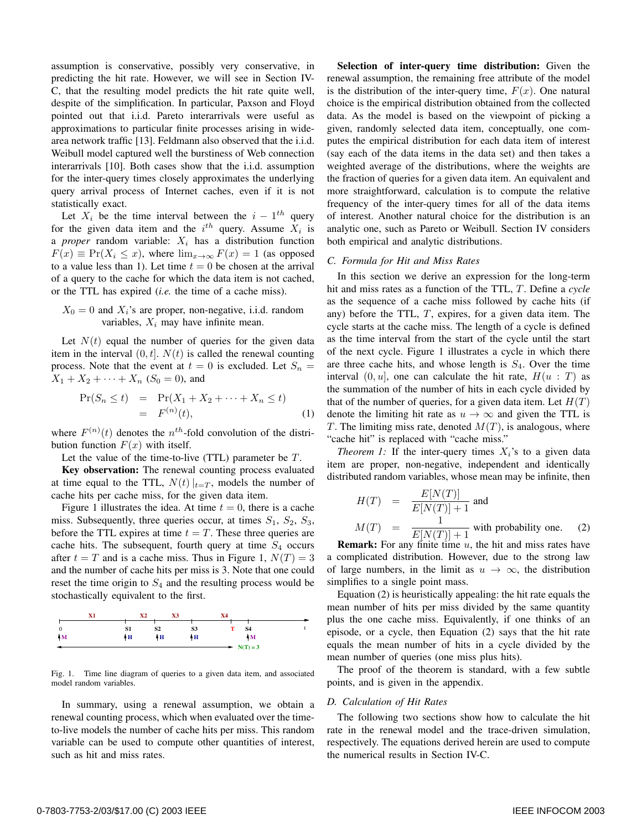assumption is conservative, possibly very conservative, in predicting the hit rate. However, we will see in Section IV-C, that the resulting model predicts the hit rate quite well, despite of the simplification. In particular, Paxson and Floyd pointed out that i.i.d. Pareto interarrivals were useful as approximations to particular finite processes arising in widearea network traffic [13]. Feldmann also observed that the i.i.d. Weibull model captured well the burstiness of Web connection interarrivals [10]. Both cases show that the i.i.d. assumption for the inter-query times closely approximates the underlying query arrival process of Internet caches, even if it is not statistically exact.

Let  $X_i$  be the time interval between the  $i - 1$ <sup>th</sup> query for the given data item and the  $i^{th}$  query. Assume  $X_i$  is a *proper* random variable: *X<sup>i</sup>* has a distribution function  $F(x) \equiv \Pr(X_i \leq x)$ , where  $\lim_{x \to \infty} F(x) = 1$  (as opposed to a value less than 1). Let time  $t = 0$  be chosen at the arrival of a query to the cache for which the data item is not cached, or the TTL has expired (*i.e.* the time of a cache miss).

# $X_0 = 0$  and  $X_i$ 's are proper, non-negative, i.i.d. random variables, *X<sup>i</sup>* may have infinite mean.

Let  $N(t)$  equal the number of queries for the given data item in the interval  $(0, t]$ .  $N(t)$  is called the renewal counting process. Note that the event at  $t = 0$  is excluded. Let  $S_n =$  $X_1 + X_2 + \cdots + X_n$  (*S*<sub>0</sub> = 0), and

$$
\Pr(S_n \le t) = \Pr(X_1 + X_2 + \dots + X_n \le t) \n= F^{(n)}(t),
$$
\n(1)

where  $F^{(n)}(t)$  denotes the  $n^{th}$ -fold convolution of the distribution function  $F(x)$  with itself.

Let the value of the time-to-live (TTL) parameter be *T*.

**Key observation:** The renewal counting process evaluated at time equal to the TTL,  $N(t) |_{t=T}$ , models the number of cache hits per cache miss, for the given data item.

Figure 1 illustrates the idea. At time  $t = 0$ , there is a cache miss. Subsequently, three queries occur, at times  $S_1$ ,  $S_2$ ,  $S_3$ , before the TTL expires at time  $t = T$ . These three queries are cache hits. The subsequent, fourth query at time *S*<sup>4</sup> occurs after  $t = T$  and is a cache miss. Thus in Figure 1,  $N(T) = 3$ and the number of cache hits per miss is 3. Note that one could reset the time origin to  $S_4$  and the resulting process would be stochastically equivalent to the first.



Fig. 1. Time line diagram of queries to a given data item, and associated model random variables.

In summary, using a renewal assumption, we obtain a renewal counting process, which when evaluated over the timeto-live models the number of cache hits per miss. This random variable can be used to compute other quantities of interest, such as hit and miss rates.

**Selection of inter-query time distribution:** Given the renewal assumption, the remaining free attribute of the model is the distribution of the inter-query time,  $F(x)$ . One natural choice is the empirical distribution obtained from the collected data. As the model is based on the viewpoint of picking a given, randomly selected data item, conceptually, one computes the empirical distribution for each data item of interest (say each of the data items in the data set) and then takes a weighted average of the distributions, where the weights are the fraction of queries for a given data item. An equivalent and more straightforward, calculation is to compute the relative frequency of the inter-query times for all of the data items of interest. Another natural choice for the distribution is an analytic one, such as Pareto or Weibull. Section IV considers both empirical and analytic distributions.

## *C. Formula for Hit and Miss Rates*

In this section we derive an expression for the long-term hit and miss rates as a function of the TTL, *T*. Define a *cycle* as the sequence of a cache miss followed by cache hits (if any) before the TTL, *T*, expires, for a given data item. The cycle starts at the cache miss. The length of a cycle is defined as the time interval from the start of the cycle until the start of the next cycle. Figure 1 illustrates a cycle in which there are three cache hits, and whose length is *S*4. Over the time interval  $(0, u]$ , one can calculate the hit rate,  $H(u : T)$  as the summation of the number of hits in each cycle divided by that of the number of queries, for a given data item. Let  $H(T)$ denote the limiting hit rate as  $u \rightarrow \infty$  and given the TTL is *T*. The limiting miss rate, denoted *M*(*T*), is analogous, where "cache hit" is replaced with "cache miss."

*Theorem 1:* If the inter-query times  $X_i$ 's to a given data item are proper, non-negative, independent and identically distributed random variables, whose mean may be infinite, then

$$
H(T) = \frac{E[N(T)]}{E[N(T)] + 1}
$$
 and  
\n
$$
M(T) = \frac{1}{E[N(T)] + 1}
$$
 with probability one. (2)

**Remark:** For any finite time *u*, the hit and miss rates have a complicated distribution. However, due to the strong law of large numbers, in the limit as  $u \to \infty$ , the distribution simplifies to a single point mass.

Equation (2) is heuristically appealing: the hit rate equals the mean number of hits per miss divided by the same quantity plus the one cache miss. Equivalently, if one thinks of an episode, or a cycle, then Equation (2) says that the hit rate equals the mean number of hits in a cycle divided by the mean number of queries (one miss plus hits).

The proof of the theorem is standard, with a few subtle points, and is given in the appendix.

#### *D. Calculation of Hit Rates*

The following two sections show how to calculate the hit rate in the renewal model and the trace-driven simulation, respectively. The equations derived herein are used to compute the numerical results in Section IV-C.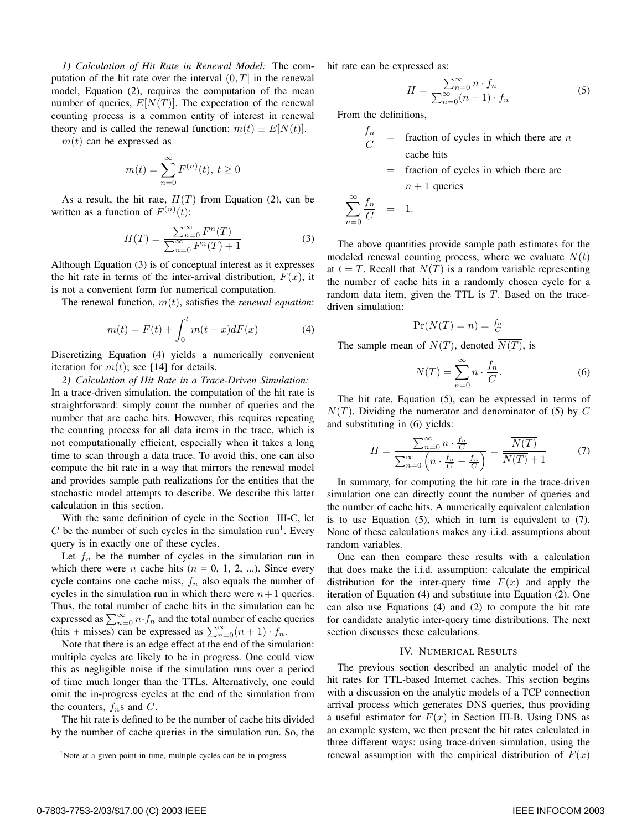*1) Calculation of Hit Rate in Renewal Model:* The computation of the hit rate over the interval  $(0, T]$  in the renewal model, Equation (2), requires the computation of the mean number of queries,  $E[N(T)]$ . The expectation of the renewal counting process is a common entity of interest in renewal theory and is called the renewal function:  $m(t) \equiv E[N(t)]$ .

 $m(t)$  can be expressed as

$$
m(t) = \sum_{n=0}^{\infty} F^{(n)}(t), \ t \ge 0
$$

As a result, the hit rate,  $H(T)$  from Equation (2), can be written as a function of  $F^{(n)}(t)$ :

$$
H(T) = \frac{\sum_{n=0}^{\infty} F^n(T)}{\sum_{n=0}^{\infty} F^n(T) + 1}
$$
 (3)

Although Equation (3) is of conceptual interest as it expresses the hit rate in terms of the inter-arrival distribution,  $F(x)$ , it is not a convenient form for numerical computation.

The renewal function, *m*(*t*), satisfies the *renewal equation*:

$$
m(t) = F(t) + \int_0^t m(t - x) dF(x)
$$
 (4)

Discretizing Equation (4) yields a numerically convenient iteration for  $m(t)$ ; see [14] for details.

*2) Calculation of Hit Rate in a Trace-Driven Simulation:* In a trace-driven simulation, the computation of the hit rate is straightforward: simply count the number of queries and the number that are cache hits. However, this requires repeating the counting process for all data items in the trace, which is not computationally efficient, especially when it takes a long time to scan through a data trace. To avoid this, one can also compute the hit rate in a way that mirrors the renewal model and provides sample path realizations for the entities that the stochastic model attempts to describe. We describe this latter calculation in this section.

With the same definition of cycle in the Section III-C, let  $C$  be the number of such cycles in the simulation run<sup>1</sup>. Every query is in exactly one of these cycles.

Let  $f_n$  be the number of cycles in the simulation run in which there were *n* cache hits ( $n = 0, 1, 2, ...$ ). Since every cycle contains one cache miss, *f<sup>n</sup>* also equals the number of cycles in the simulation run in which there were  $n+1$  queries. Thus, the total number of cache hits in the simulation can be expressed as  $\sum_{n=0}^{\infty} n \cdot f_n$  and the total number of cache queries (hits + misses) can be expressed as  $\sum_{n=0}^{\infty} (n + 1) \cdot f_n$ .

Note that there is an edge effect at the end of the simulation: multiple cycles are likely to be in progress. One could view this as negligible noise if the simulation runs over a period of time much longer than the TTLs. Alternatively, one could omit the in-progress cycles at the end of the simulation from the counters,  $f_n$ s and  $C$ .

The hit rate is defined to be the number of cache hits divided by the number of cache queries in the simulation run. So, the hit rate can be expressed as:

$$
H = \frac{\sum_{n=0}^{\infty} n \cdot f_n}{\sum_{n=0}^{\infty} (n+1) \cdot f_n}
$$
 (5)

From the definitions,

 $\frac{f_n}{C}$  = fraction of cycles in which there are *n* cache hits

= fraction of cycles in which there are 
$$
n + 1
$$
 queries

*<sup>∞</sup> n*=0  $\frac{f_n}{C}$  = 1.

The above quantities provide sample path estimates for the modeled renewal counting process, where we evaluate  $N(t)$ at  $t = T$ . Recall that  $N(T)$  is a random variable representing the number of cache hits in a randomly chosen cycle for a random data item, given the TTL is *T*. Based on the tracedriven simulation:

$$
\Pr(N(T) = n) = \frac{f_n}{C}
$$

The sample mean of  $N(T)$ , denoted  $\overline{N(T)}$ , is

$$
\overline{N(T)} = \sum_{n=0}^{\infty} n \cdot \frac{f_n}{C}.
$$
 (6)

The hit rate, Equation (5), can be expressed in terms of  $N(T)$ . Dividing the numerator and denominator of (5) by  $C$ and substituting in (6) yields:

$$
H = \frac{\sum_{n=0}^{\infty} n \cdot \frac{f_n}{C}}{\sum_{n=0}^{\infty} \left( n \cdot \frac{f_n}{C} + \frac{f_n}{C} \right)} = \frac{\overline{N(T)}}{\overline{N(T)} + 1} \tag{7}
$$

In summary, for computing the hit rate in the trace-driven simulation one can directly count the number of queries and the number of cache hits. A numerically equivalent calculation is to use Equation (5), which in turn is equivalent to (7). None of these calculations makes any i.i.d. assumptions about random variables.

One can then compare these results with a calculation that does make the i.i.d. assumption: calculate the empirical distribution for the inter-query time  $F(x)$  and apply the iteration of Equation (4) and substitute into Equation (2). One can also use Equations (4) and (2) to compute the hit rate for candidate analytic inter-query time distributions. The next section discusses these calculations.

# IV. NUMERICAL RESULTS

The previous section described an analytic model of the hit rates for TTL-based Internet caches. This section begins with a discussion on the analytic models of a TCP connection arrival process which generates DNS queries, thus providing a useful estimator for  $F(x)$  in Section III-B. Using DNS as an example system, we then present the hit rates calculated in three different ways: using trace-driven simulation, using the renewal assumption with the empirical distribution of  $F(x)$ 

<sup>&</sup>lt;sup>1</sup>Note at a given point in time, multiple cycles can be in progress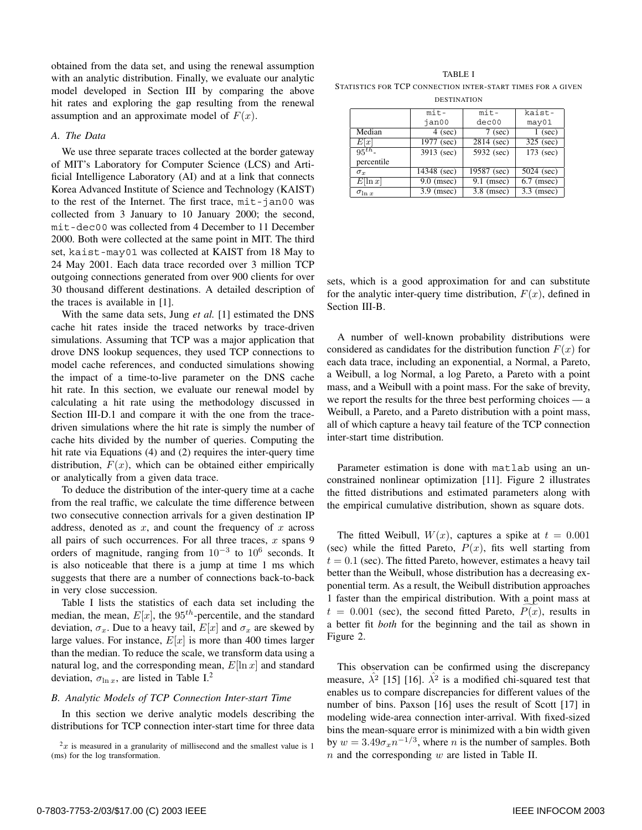obtained from the data set, and using the renewal assumption with an analytic distribution. Finally, we evaluate our analytic model developed in Section III by comparing the above hit rates and exploring the gap resulting from the renewal assumption and an approximate model of  $F(x)$ .

## *A. The Data*

We use three separate traces collected at the border gateway of MIT's Laboratory for Computer Science (LCS) and Artificial Intelligence Laboratory (AI) and at a link that connects Korea Advanced Institute of Science and Technology (KAIST) to the rest of the Internet. The first trace, mit-jan00 was collected from 3 January to 10 January 2000; the second, mit-dec00 was collected from 4 December to 11 December 2000. Both were collected at the same point in MIT. The third set, kaist-may01 was collected at KAIST from 18 May to 24 May 2001. Each data trace recorded over 3 million TCP outgoing connections generated from over 900 clients for over 30 thousand different destinations. A detailed description of the traces is available in [1].

With the same data sets, Jung *et al.* [1] estimated the DNS cache hit rates inside the traced networks by trace-driven simulations. Assuming that TCP was a major application that drove DNS lookup sequences, they used TCP connections to model cache references, and conducted simulations showing the impact of a time-to-live parameter on the DNS cache hit rate. In this section, we evaluate our renewal model by calculating a hit rate using the methodology discussed in Section III-D.1 and compare it with the one from the tracedriven simulations where the hit rate is simply the number of cache hits divided by the number of queries. Computing the hit rate via Equations (4) and (2) requires the inter-query time distribution,  $F(x)$ , which can be obtained either empirically or analytically from a given data trace.

To deduce the distribution of the inter-query time at a cache from the real traffic, we calculate the time difference between two consecutive connection arrivals for a given destination IP address, denoted as *x*, and count the frequency of *x* across all pairs of such occurrences. For all three traces, *x* spans 9 orders of magnitude, ranging from 10*−*<sup>3</sup> to 10<sup>6</sup> seconds. It is also noticeable that there is a jump at time 1 ms which suggests that there are a number of connections back-to-back in very close succession.

Table I lists the statistics of each data set including the median, the mean,  $E[x]$ , the  $95<sup>th</sup>$ -percentile, and the standard deviation,  $\sigma_x$ . Due to a heavy tail,  $E[x]$  and  $\sigma_x$  are skewed by large values. For instance,  $E[x]$  is more than 400 times larger than the median. To reduce the scale, we transform data using a natural log, and the corresponding mean,  $E[\ln x]$  and standard deviation,  $\sigma_{\ln x}$ , are listed in Table I.<sup>2</sup>

# *B. Analytic Models of TCP Connection Inter-start Time*

In this section we derive analytic models describing the distributions for TCP connection inter-start time for three data

 $2x$  is measured in a granularity of millisecond and the smallest value is 1 (ms) for the log transformation.

TABLE I STATISTICS FOR TCP CONNECTION INTER-START TIMES FOR A GIVEN DESTINATION

|                    | $mit -$      | $mit -$                  | kaist-       |
|--------------------|--------------|--------------------------|--------------|
|                    | jano0        | dec00                    | may01        |
| Median             | $4$ (sec)    | $7$ (sec)                | $1$ (sec)    |
| E[x]               | 1977 (sec)   | 2814 (sec)               | 325 (sec)    |
| $95$ <sup>th</sup> | 3913 (sec)   | 5932 (sec)               | 173 (sec)    |
| percentile         |              |                          |              |
| $\sigma_x$         | 14348 (sec)  | $\overline{19}587$ (sec) | $5024$ (sec) |
| $E[\ln x]$         | $9.0$ (msec) | $9.1$ (msec)             | $6.7$ (msec) |
| $\sigma_{\ln x}$   | $3.9$ (msec) | $3.8$ (msec)             | $3.3$ (msec) |

sets, which is a good approximation for and can substitute for the analytic inter-query time distribution,  $F(x)$ , defined in Section III-B.

A number of well-known probability distributions were considered as candidates for the distribution function  $F(x)$  for each data trace, including an exponential, a Normal, a Pareto, a Weibull, a log Normal, a log Pareto, a Pareto with a point mass, and a Weibull with a point mass. For the sake of brevity, we report the results for the three best performing choices — a Weibull, a Pareto, and a Pareto distribution with a point mass, all of which capture a heavy tail feature of the TCP connection inter-start time distribution.

Parameter estimation is done with matlab using an unconstrained nonlinear optimization [11]. Figure 2 illustrates the fitted distributions and estimated parameters along with the empirical cumulative distribution, shown as square dots.

The fitted Weibull,  $W(x)$ , captures a spike at  $t = 0.001$ (sec) while the fitted Pareto,  $P(x)$ , fits well starting from  $t = 0.1$  (sec). The fitted Pareto, however, estimates a heavy tail better than the Weibull, whose distribution has a decreasing exponential term. As a result, the Weibull distribution approaches 1 faster than the empirical distribution. With a point mass at  $t = 0.001$  (sec), the second fitted Pareto,  $P(x)$ , results in a better fit *both* for the beginning and the tail as shown in Figure 2.

This observation can be confirmed using the discrepancy measure,  $\hat{\lambda^2}$  [15] [16].  $\hat{\lambda^2}$  is a modified chi-squared test that enables us to compare discrepancies for different values of the number of bins. Paxson [16] uses the result of Scott [17] in modeling wide-area connection inter-arrival. With fixed-sized bins the mean-square error is minimized with a bin width given by  $w = 3.49 \sigma_x n^{-1/3}$ , where *n* is the number of samples. Both *n* and the corresponding *w* are listed in Table II.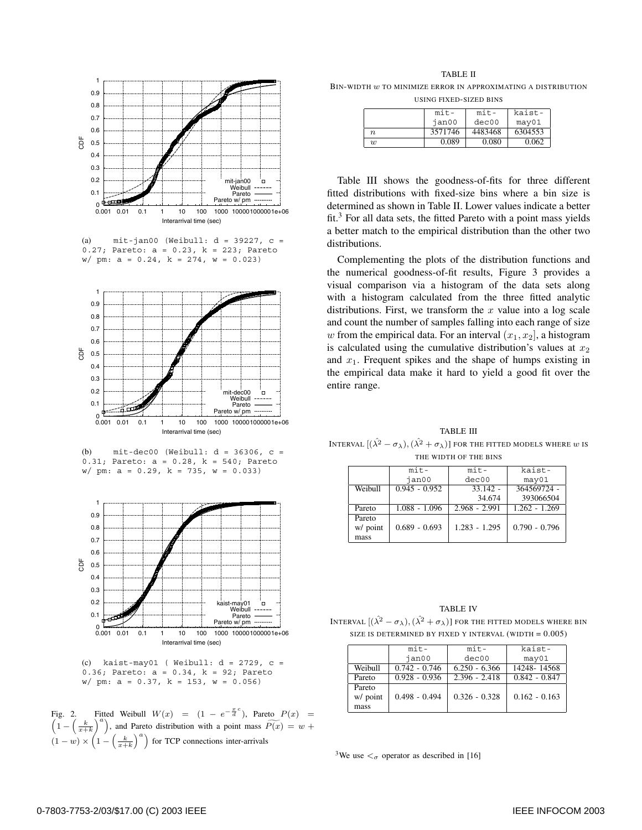

(a)  $mit-jan00$  (Weibull:  $d = 39227$ ,  $c =$ 0.27; Pareto: a = 0.23, k = 223; Pareto w/ pm: a = 0.24, k = 274, w = 0.023)



(b)  $mit-dec00$  (Weibull:  $d = 36306$ ,  $c =$ 0.31; Pareto: a = 0.28, k = 540; Pareto  $w/$  pm: a = 0.29, k = 735,  $w = 0.033$ )



(c) kaist-may01 ( Weibull: d = 2729, c = 0.36; Pareto: a = 0.34, k = 92; Pareto w/ pm: a = 0.37, k = 153, w = 0.056)

Fig. 2. Fitted Weibull  $W(x) = (1 - e^{-\frac{x}{d}})$ , Pareto  $P(x) =$  $\left(1 - \left(\frac{k}{x+k}\right)^a\right)$ , and Pareto distribution with a point mass  $\widetilde{P(x)} = w +$  $(1 - w) \times \left(1 - \left(\frac{k}{x + k}\right)^a\right)$  for TCP connections inter-arrivals

TABLE II BIN-WIDTH *w* TO MINIMIZE ERROR IN APPROXIMATING A DISTRIBUTION USING FIXED-SIZED BINS

| <b>CONTO HALD OILLD DING</b> |         |         |         |  |  |
|------------------------------|---------|---------|---------|--|--|
|                              | mit-    | mit-    | kaist-  |  |  |
|                              | jan00   | dec00   | may01   |  |  |
| $\it n$                      | 3571746 | 4483468 | 6304553 |  |  |
| $\boldsymbol{w}$             | 0.089   | 0.080   | 0.062   |  |  |

Table III shows the goodness-of-fits for three different fitted distributions with fixed-size bins where a bin size is determined as shown in Table II. Lower values indicate a better fit.<sup>3</sup> For all data sets, the fitted Pareto with a point mass yields a better match to the empirical distribution than the other two distributions.

Complementing the plots of the distribution functions and the numerical goodness-of-fit results, Figure 3 provides a visual comparison via a histogram of the data sets along with a histogram calculated from the three fitted analytic distributions. First, we transform the *x* value into a log scale and count the number of samples falling into each range of size *w* from the empirical data. For an interval  $(x_1, x_2]$ , a histogram is calculated using the cumulative distribution's values at  $x_2$ and *x*1. Frequent spikes and the shape of humps existing in the empirical data make it hard to yield a good fit over the entire range.

TABLE III INTERVAL  $[(\hat{\lambda^2} - \sigma_{\lambda}), (\hat{\lambda^2} + \sigma_{\lambda})]$  for the fitted models where  $w$  is THE WIDTH OF THE BINS

|                            | $mit -$         | $mit -$         | kaist-          |
|----------------------------|-----------------|-----------------|-----------------|
|                            | jano0           | dec00           | may01           |
| Weibull                    | $0.945 - 0.952$ | $33.142 -$      | 364569724 -     |
|                            |                 | 34.674          | 393066504       |
| Pareto                     | $1.088 - 1.096$ | $2.968 - 2.991$ | $1.262 - 1.269$ |
| Pareto<br>w/ point<br>mass | $0.689 - 0.693$ | $1.283 - 1.295$ | $0.790 - 0.796$ |

TABLE IV INTERVAL  $[(\hat{\lambda^2} - \sigma_{\lambda}), (\hat{\lambda^2} + \sigma_{\lambda})]$  for the fitted models where bin SIZE IS DETERMINED BY FIXED Y INTERVAL (WIDTH  $= 0.005$ )

|                            | $mit -$         | $mit -$         | kaist-          |
|----------------------------|-----------------|-----------------|-----------------|
|                            | jan00           | dec00           | may01           |
| Weibull                    | $0.742 - 0.746$ | $6.250 - 6.366$ | 14248-14568     |
| Pareto                     | $0.928 - 0.936$ | $2.396 - 2.418$ | $0.842 - 0.847$ |
| Pareto<br>w/ point<br>mass | $0.498 - 0.494$ | $0.326 - 0.328$ | $0.162 - 0.163$ |

<sup>3</sup>We use  $\lt_{\sigma}$  operator as described in [16]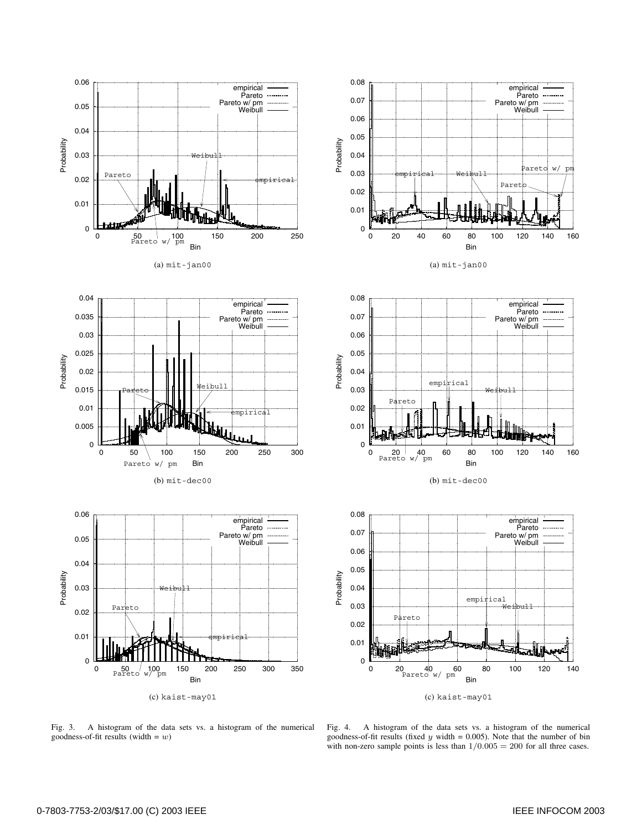

Fig. 3. A histogram of the data sets vs. a histogram of the numerical goodness-of-fit results (width = *w*)

Fig. 4. A histogram of the data sets vs. a histogram of the numerical goodness-of-fit results (fixed *y* width = 0.005). Note that the number of bin with non-zero sample points is less than  $1/0.005 = 200$  for all three cases.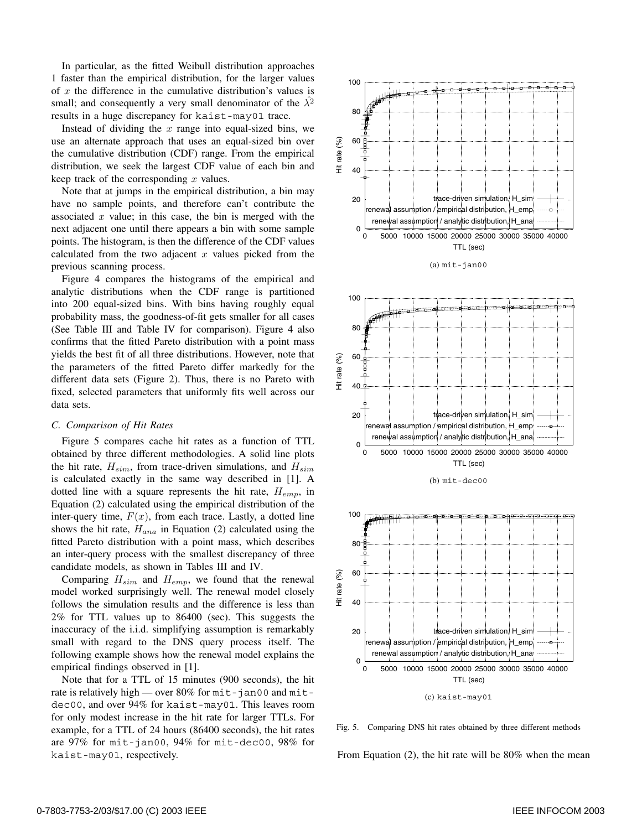In particular, as the fitted Weibull distribution approaches 1 faster than the empirical distribution, for the larger values of *x* the difference in the cumulative distribution's values is small; and consequently a very small denominator of the  $\hat{\lambda^2}$ results in a huge discrepancy for kaist-may01 trace.

Instead of dividing the *x* range into equal-sized bins, we use an alternate approach that uses an equal-sized bin over the cumulative distribution (CDF) range. From the empirical distribution, we seek the largest CDF value of each bin and keep track of the corresponding *x* values.

Note that at jumps in the empirical distribution, a bin may have no sample points, and therefore can't contribute the associated *x* value; in this case, the bin is merged with the next adjacent one until there appears a bin with some sample points. The histogram, is then the difference of the CDF values calculated from the two adjacent *x* values picked from the previous scanning process.

Figure 4 compares the histograms of the empirical and analytic distributions when the CDF range is partitioned into 200 equal-sized bins. With bins having roughly equal probability mass, the goodness-of-fit gets smaller for all cases (See Table III and Table IV for comparison). Figure 4 also confirms that the fitted Pareto distribution with a point mass yields the best fit of all three distributions. However, note that the parameters of the fitted Pareto differ markedly for the different data sets (Figure 2). Thus, there is no Pareto with fixed, selected parameters that uniformly fits well across our data sets.

#### *C. Comparison of Hit Rates*

Figure 5 compares cache hit rates as a function of TTL obtained by three different methodologies. A solid line plots the hit rate, *Hsim*, from trace-driven simulations, and *Hsim* is calculated exactly in the same way described in [1]. A dotted line with a square represents the hit rate, *Hemp*, in Equation (2) calculated using the empirical distribution of the inter-query time,  $F(x)$ , from each trace. Lastly, a dotted line shows the hit rate, *Hana* in Equation (2) calculated using the fitted Pareto distribution with a point mass, which describes an inter-query process with the smallest discrepancy of three candidate models, as shown in Tables III and IV.

Comparing *Hsim* and *Hemp*, we found that the renewal model worked surprisingly well. The renewal model closely follows the simulation results and the difference is less than 2% for TTL values up to 86400 (sec). This suggests the inaccuracy of the i.i.d. simplifying assumption is remarkably small with regard to the DNS query process itself. The following example shows how the renewal model explains the empirical findings observed in [1].

Note that for a TTL of 15 minutes (900 seconds), the hit rate is relatively high — over 80% for mit-jan00 and mitdec00, and over 94% for kaist-may01. This leaves room for only modest increase in the hit rate for larger TTLs. For example, for a TTL of 24 hours (86400 seconds), the hit rates are 97% for mit-jan00, 94% for mit-dec00, 98% for kaist-may01, respectively.



(c) kaist-may01

Fig. 5. Comparing DNS hit rates obtained by three different methods

From Equation (2), the hit rate will be 80% when the mean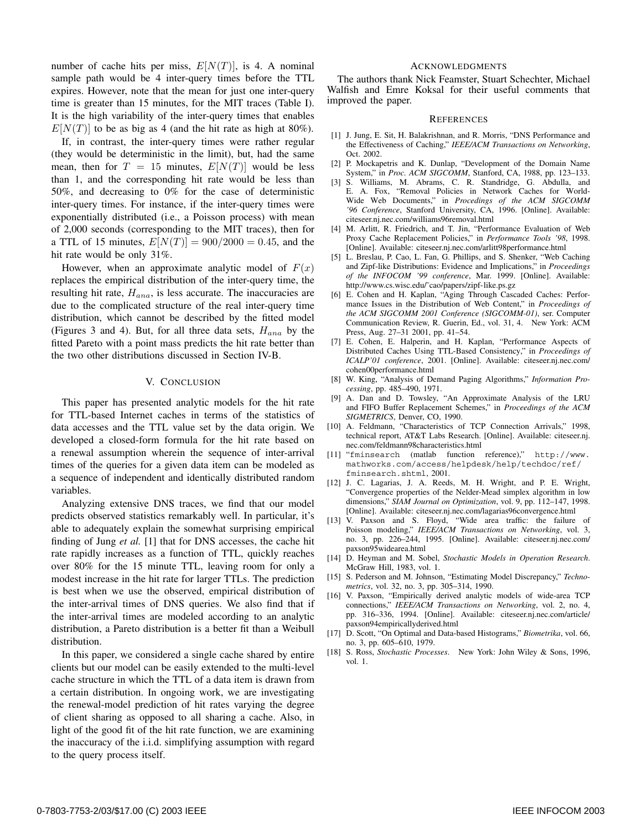number of cache hits per miss,  $E[N(T)]$ , is 4. A nominal sample path would be 4 inter-query times before the TTL expires. However, note that the mean for just one inter-query time is greater than 15 minutes, for the MIT traces (Table I). It is the high variability of the inter-query times that enables  $E[N(T)]$  to be as big as 4 (and the hit rate as high at 80%).

If, in contrast, the inter-query times were rather regular (they would be deterministic in the limit), but, had the same mean, then for  $T = 15$  minutes,  $E[N(T)]$  would be less than 1, and the corresponding hit rate would be less than 50%, and decreasing to 0% for the case of deterministic inter-query times. For instance, if the inter-query times were exponentially distributed (i.e., a Poisson process) with mean of 2,000 seconds (corresponding to the MIT traces), then for a TTL of 15 minutes,  $E[N(T)] = 900/2000 = 0.45$ , and the hit rate would be only 31%.

However, when an approximate analytic model of  $F(x)$ replaces the empirical distribution of the inter-query time, the resulting hit rate, *Hana*, is less accurate. The inaccuracies are due to the complicated structure of the real inter-query time distribution, which cannot be described by the fitted model (Figures 3 and 4). But, for all three data sets, *Hana* by the fitted Pareto with a point mass predicts the hit rate better than the two other distributions discussed in Section IV-B.

## V. CONCLUSION

This paper has presented analytic models for the hit rate for TTL-based Internet caches in terms of the statistics of data accesses and the TTL value set by the data origin. We developed a closed-form formula for the hit rate based on a renewal assumption wherein the sequence of inter-arrival times of the queries for a given data item can be modeled as a sequence of independent and identically distributed random variables.

Analyzing extensive DNS traces, we find that our model predicts observed statistics remarkably well. In particular, it's able to adequately explain the somewhat surprising empirical finding of Jung *et al.* [1] that for DNS accesses, the cache hit rate rapidly increases as a function of TTL, quickly reaches over 80% for the 15 minute TTL, leaving room for only a modest increase in the hit rate for larger TTLs. The prediction is best when we use the observed, empirical distribution of the inter-arrival times of DNS queries. We also find that if the inter-arrival times are modeled according to an analytic distribution, a Pareto distribution is a better fit than a Weibull distribution.

In this paper, we considered a single cache shared by entire clients but our model can be easily extended to the multi-level cache structure in which the TTL of a data item is drawn from a certain distribution. In ongoing work, we are investigating the renewal-model prediction of hit rates varying the degree of client sharing as opposed to all sharing a cache. Also, in light of the good fit of the hit rate function, we are examining the inaccuracy of the i.i.d. simplifying assumption with regard to the query process itself.

#### ACKNOWLEDGMENTS

The authors thank Nick Feamster, Stuart Schechter, Michael Walfish and Emre Koksal for their useful comments that improved the paper.

#### **REFERENCES**

- [1] J. Jung, E. Sit, H. Balakrishnan, and R. Morris, "DNS Performance and the Effectiveness of Caching," *IEEE/ACM Transactions on Networking*, Oct. 2002.
- [2] P. Mockapetris and K. Dunlap, "Development of the Domain Name System," in *Proc. ACM SIGCOMM*, Stanford, CA, 1988, pp. 123–133.
- [3] S. Williams, M. Abrams, C. R. Standridge, G. Abdulla, and E. A. Fox, "Removal Policies in Network Caches for World-Wide Web Documents," in *Procedings of the ACM SIGCOMM '96 Conference*, Stanford University, CA, 1996. [Online]. Available: citeseer.nj.nec.com/williams96removal.html
- [4] M. Arlitt, R. Friedrich, and T. Jin, "Performance Evaluation of Web Proxy Cache Replacement Policies," in *Performance Tools '98*, 1998. [Online]. Available: citeseer.nj.nec.com/arlitt98performance.html
- [5] L. Breslau, P. Cao, L. Fan, G. Phillips, and S. Shenker, "Web Caching and Zipf-like Distributions: Evidence and Implications," in *Proceedings of the INFOCOM '99 conference*, Mar. 1999. [Online]. Available: http://www.cs.wisc.edu/˜cao/papers/zipf-like.ps.gz
- [6] E. Cohen and H. Kaplan, "Aging Through Cascaded Caches: Performance Issues in the Distribution of Web Content," in *Proceedings of the ACM SIGCOMM 2001 Conference (SIGCOMM-01)*, ser. Computer Communication Review, R. Guerin, Ed., vol. 31, 4. New York: ACM Press, Aug. 27–31 2001, pp. 41–54.
- [7] E. Cohen, E. Halperin, and H. Kaplan, "Performance Aspects of Distributed Caches Using TTL-Based Consistency," in *Proceedings of ICALP'01 conference*, 2001. [Online]. Available: citeseer.nj.nec.com/ cohen00performance.html
- [8] W. King, "Analysis of Demand Paging Algorithms," *Information Processing*, pp. 485–490, 1971.
- [9] A. Dan and D. Towsley, "An Approximate Analysis of the LRU and FIFO Buffer Replacement Schemes," in *Proceedings of the ACM SIGMETRICS*, Denver, CO, 1990.
- [10] A. Feldmann, "Characteristics of TCP Connection Arrivals," 1998, technical report, AT&T Labs Research. [Online]. Available: citeseer.nj. nec.com/feldmann98characteristics.html
- [11] "fminsearch (matlab function reference)," http://www. mathworks.com/access/helpdesk/help/techdoc/ref/ fminsearch.shtml, 2001.
- [12] J. C. Lagarias, J. A. Reeds, M. H. Wright, and P. E. Wright, "Convergence properties of the Nelder-Mead simplex algorithm in low dimensions," *SIAM Journal on Optimization*, vol. 9, pp. 112–147, 1998. [Online]. Available: citeseer.nj.nec.com/lagarias96convergence.html
- [13] V. Paxson and S. Floyd, "Wide area traffic: the failure of Poisson modeling," *IEEE/ACM Transactions on Networking*, vol. 3, no. 3, pp. 226–244, 1995. [Online]. Available: citeseer.nj.nec.com/ paxson95widearea.html
- [14] D. Heyman and M. Sobel, *Stochastic Models in Operation Research*. McGraw Hill, 1983, vol. 1.
- [15] S. Pederson and M. Johnson, "Estimating Model Discrepancy," *Technometrics*, vol. 32, no. 3, pp. 305–314, 1990.
- [16] V. Paxson, "Empirically derived analytic models of wide-area TCP connections," *IEEE/ACM Transactions on Networking*, vol. 2, no. 4, pp. 316–336, 1994. [Online]. Available: citeseer.nj.nec.com/article/ paxson94empiricallyderived.html
- [17] D. Scott, "On Optimal and Data-based Histograms," *Biometrika*, vol. 66, no. 3, pp. 605–610, 1979.
- [18] S. Ross, *Stochastic Processes*. New York: John Wiley & Sons, 1996, vol. 1.